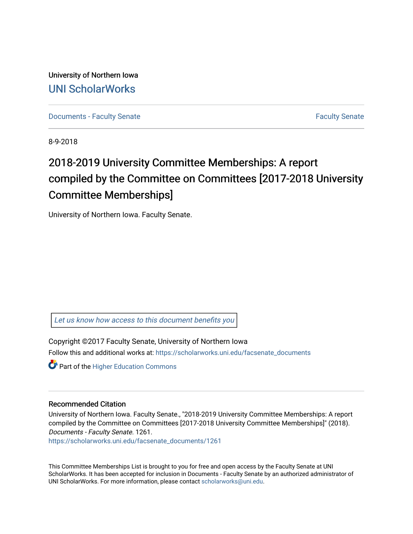University of Northern Iowa [UNI ScholarWorks](https://scholarworks.uni.edu/) 

[Documents - Faculty Senate](https://scholarworks.uni.edu/facsenate_documents) [Faculty Senate](https://scholarworks.uni.edu/facsenate) Faculty Senate

8-9-2018

# 2018-2019 University Committee Memberships: A report compiled by the Committee on Committees [2017-2018 University Committee Memberships]

University of Northern Iowa. Faculty Senate.

[Let us know how access to this document benefits you](https://scholarworks.uni.edu/feedback_form.html) 

Copyright ©2017 Faculty Senate, University of Northern Iowa Follow this and additional works at: [https://scholarworks.uni.edu/facsenate\\_documents](https://scholarworks.uni.edu/facsenate_documents?utm_source=scholarworks.uni.edu%2Ffacsenate_documents%2F1261&utm_medium=PDF&utm_campaign=PDFCoverPages) 

**Part of the Higher Education Commons** 

#### Recommended Citation

University of Northern Iowa. Faculty Senate., "2018-2019 University Committee Memberships: A report compiled by the Committee on Committees [2017-2018 University Committee Memberships]" (2018). Documents - Faculty Senate. 1261.

[https://scholarworks.uni.edu/facsenate\\_documents/1261](https://scholarworks.uni.edu/facsenate_documents/1261?utm_source=scholarworks.uni.edu%2Ffacsenate_documents%2F1261&utm_medium=PDF&utm_campaign=PDFCoverPages) 

This Committee Memberships List is brought to you for free and open access by the Faculty Senate at UNI ScholarWorks. It has been accepted for inclusion in Documents - Faculty Senate by an authorized administrator of UNI ScholarWorks. For more information, please contact [scholarworks@uni.edu.](mailto:scholarworks@uni.edu)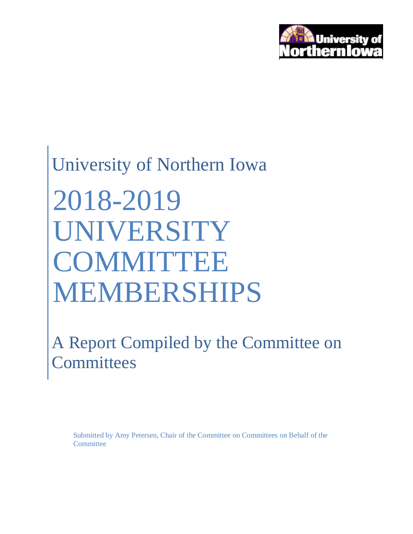

# University of Northern Iowa 2018-2019 UNIVERSITY **COMMITTEE** MEMBERSHIPS

A Report Compiled by the Committee on **Committees** 

Submitted by Amy Petersen, Chair of the Committee on Committees on Behalf of the **Committee**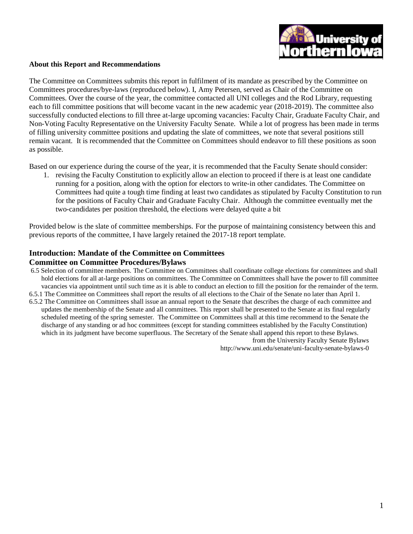

#### **About this Report and Recommendations**

The Committee on Committees submits this report in fulfilment of its mandate as prescribed by the Committee on Committees procedures/bye-laws (reproduced below). I, Amy Petersen, served as Chair of the Committee on Committees. Over the course of the year, the committee contacted all UNI colleges and the Rod Library, requesting each to fill committee positions that will become vacant in the new academic year (2018-2019). The committee also successfully conducted elections to fill three at-large upcoming vacancies: Faculty Chair, Graduate Faculty Chair, and Non-Voting Faculty Representative on the University Faculty Senate. While a lot of progress has been made in terms of filling university committee positions and updating the slate of committees, we note that several positions still remain vacant. It is recommended that the Committee on Committees should endeavor to fill these positions as soon as possible.

Based on our experience during the course of the year, it is recommended that the Faculty Senate should consider:

1. revising the Faculty Constitution to explicitly allow an election to proceed if there is at least one candidate running for a position, along with the option for electors to write-in other candidates. The Committee on Committees had quite a tough time finding at least two candidates as stipulated by Faculty Constitution to run for the positions of Faculty Chair and Graduate Faculty Chair. Although the committee eventually met the two-candidates per position threshold, the elections were delayed quite a bit

Provided below is the slate of committee memberships. For the purpose of maintaining consistency between this and previous reports of the committee, I have largely retained the 2017-18 report template.

#### **Introduction: Mandate of the Committee on Committees Committee on Committee Procedures/Bylaws**

- 6.5 Selection of committee members. The Committee on Committees shall coordinate college elections for committees and shall hold elections for all at-large positions on committees. The Committee on Committees shall have the power to fill committee vacancies via appointment until such time as it is able to conduct an election to fill the position for the remainder of the term.
- 6.5.1 The Committee on Committees shall report the results of all elections to the Chair of the Senate no later than April 1. 6.5.2 The Committee on Committees shall issue an annual report to the Senate that describes the charge of each committee and updates the membership of the Senate and all committees. This report shall be presented to the Senate at its final regularly scheduled meeting of the spring semester. The Committee on Committees shall at this time recommend to the Senate the discharge of any standing or ad hoc committees (except for standing committees established by the Faculty Constitution) which in its judgment have become superfluous. The Secretary of the Senate shall append this report to these Bylaws.

from the University Faculty Senate Bylaws http://www.uni.edu/senate/uni-faculty-senate-bylaws-0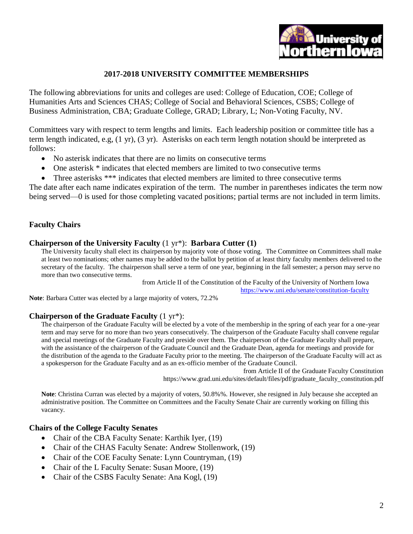

#### **2017-2018 UNIVERSITY COMMITTEE MEMBERSHIPS**

The following abbreviations for units and colleges are used: College of Education, COE; College of Humanities Arts and Sciences CHAS; College of Social and Behavioral Sciences, CSBS; College of Business Administration, CBA; Graduate College, GRAD; Library, L; Non-Voting Faculty, NV.

Committees vary with respect to term lengths and limits. Each leadership position or committee title has a term length indicated, e.g, (1 yr), (3 yr). Asterisks on each term length notation should be interpreted as follows:

- No asterisk indicates that there are no limits on consecutive terms
- One asterisk \* indicates that elected members are limited to two consecutive terms
- Three asterisks \*\*\* indicates that elected members are limited to three consecutive terms

The date after each name indicates expiration of the term. The number in parentheses indicates the term now being served—0 is used for those completing vacated positions; partial terms are not included in term limits.

#### **Faculty Chairs**

#### **Chairperson of the University Faculty** (1 yr\*): **Barbara Cutter (1)**

The University faculty shall elect its chairperson by majority vote of those voting. The Committee on Committees shall make at least two nominations; other names may be added to the ballot by petition of at least thirty faculty members delivered to the secretary of the faculty. The chairperson shall serve a term of one year, beginning in the fall semester; a person may serve no more than two consecutive terms.

from Article II of the Constitution of the Faculty of the University of Northern Iowa

<https://www.uni.edu/senate/constitution-faculty>

**Note**: Barbara Cutter was elected by a large majority of voters, 72.2%

#### **Chairperson of the Graduate Faculty** (1 yr\*):

The chairperson of the Graduate Faculty will be elected by a vote of the membership in the spring of each year for a one-year term and may serve for no more than two years consecutively. The chairperson of the Graduate Faculty shall convene regular and special meetings of the Graduate Faculty and preside over them. The chairperson of the Graduate Faculty shall prepare, with the assistance of the chairperson of the Graduate Council and the Graduate Dean, agenda for meetings and provide for the distribution of the agenda to the Graduate Faculty prior to the meeting. The chairperson of the Graduate Faculty will act as a spokesperson for the Graduate Faculty and as an ex-officio member of the Graduate Council.

from Article II of the Graduate Faculty Constitution https://www.grad.uni.edu/sites/default/files/pdf/graduate\_faculty\_constitution.pdf

**Note**: Christina Curran was elected by a majority of voters, 50.8%%. However, she resigned in July because she accepted an administrative position. The Committee on Committees and the Faculty Senate Chair are currently working on filling this vacancy.

#### **Chairs of the College Faculty Senates**

- Chair of the CBA Faculty Senate: Karthik Iyer, (19)
- Chair of the CHAS Faculty Senate: Andrew Stollenwork, (19)
- Chair of the COE Faculty Senate: Lynn Countryman, (19)
- Chair of the L Faculty Senate: Susan Moore, (19)
- Chair of the CSBS Faculty Senate: Ana Kogl, (19)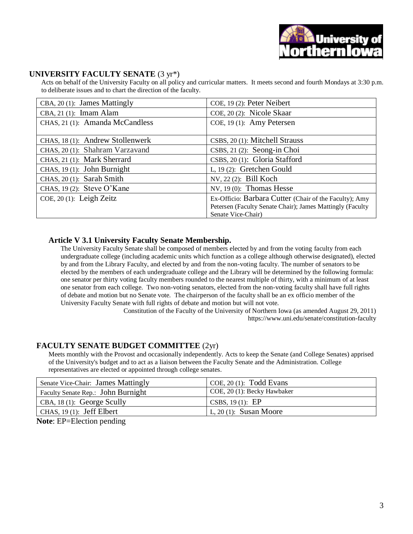# **UNIVERSITY FACULTY SENATE** (3 yr\*)

Acts on behalf of the University Faculty on all policy and curricular matters. It meets second and fourth Mondays at 3:30 p.m. to deliberate issues and to chart the direction of the faculty.

| CBA, 20 (1): James Mattingly     | COE, 19 (2): Peter Neibert                                |
|----------------------------------|-----------------------------------------------------------|
| $CBA$ , 21 $(1)$ : Imam Alam     | COE, 20 (2): Nicole Skaar                                 |
| CHAS, 21 (1): Amanda McCandless  | COE, 19 (1): Amy Petersen                                 |
|                                  |                                                           |
| CHAS, 18 (1): Andrew Stollenwerk | CSBS, 20 (1): Mitchell Strauss                            |
| CHAS, 20 (1): Shahram Varzavand  | CSBS, 21 (2): Seong-in Choi                               |
| CHAS, 21 (1): Mark Sherrard      | CSBS, 20 (1): Gloria Stafford                             |
| CHAS, 19 (1): John Burnight      | L, 19 (2): Gretchen Gould                                 |
| CHAS, 20 (1): Sarah Smith        | NV, 22 (2): Bill Koch                                     |
| CHAS, 19 $(2)$ : Steve O'Kane    | NV, $19(0)$ : Thomas Hesse                                |
| COE, $20(1)$ : Leigh Zeitz       | Ex-Officio: Barbara Cutter (Chair of the Faculty); Amy    |
|                                  | Petersen (Faculty Senate Chair); James Mattingly (Faculty |
|                                  | Senate Vice-Chair)                                        |

# **Article V 3.1 University Faculty Senate Membership.**

The University Faculty Senate shall be composed of members elected by and from the voting faculty from each undergraduate college (including academic units which function as a college although otherwise designated), elected by and from the Library Faculty, and elected by and from the non-voting faculty. The number of senators to be elected by the members of each undergraduate college and the Library will be determined by the following formula: one senator per thirty voting faculty members rounded to the nearest multiple of thirty, with a minimum of at least one senator from each college. Two non-voting senators, elected from the non-voting faculty shall have full rights of debate and motion but no Senate vote. The chairperson of the faculty shall be an ex officio member of the University Faculty Senate with full rights of debate and motion but will not vote.

Constitution of the Faculty of the University of Northern Iowa (as amended August 29, 2011) https://www.uni.edu/senate/constitution-faculty

# **FACULTY SENATE BUDGET COMMITTEE** (2yr)

Meets monthly with the Provost and occasionally independently. Acts to keep the Senate (and College Senates) apprised of the University's budget and to act as a liaison between the Faculty Senate and the Administration. College representatives are elected or appointed through college senates.

| COE, 20 (1): Becky Hawbaker |
|-----------------------------|
| CSBS, 19 $(1)$ : EP         |
| L, 20 (1): Susan Moore      |
|                             |

**Note**: EP=Election pending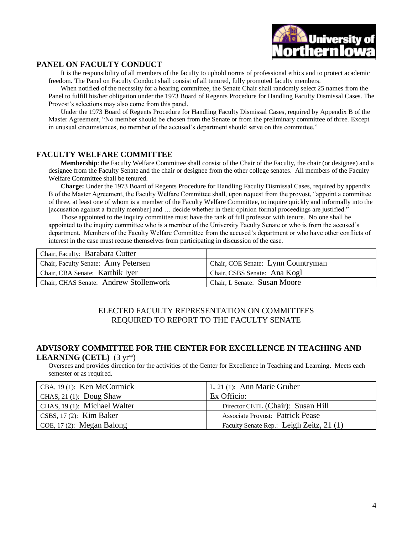

#### **PANEL ON FACULTY CONDUCT**

It is the responsibility of all members of the faculty to uphold norms of professional ethics and to protect academic freedom. The Panel on Faculty Conduct shall consist of all tenured, fully promoted faculty members.

When notified of the necessity for a hearing committee, the Senate Chair shall randomly select 25 names from the Panel to fulfill his/her obligation under the 1973 Board of Regents Procedure for Handling Faculty Dismissal Cases. The Provost's selections may also come from this panel.

Under the 1973 Board of Regents Procedure for Handling Faculty Dismissal Cases, required by Appendix B of the Master Agreement, "No member should be chosen from the Senate or from the preliminary committee of three. Except in unusual circumstances, no member of the accused's department should serve on this committee."

#### **FACULTY WELFARE COMMITTEE**

**Membership**: the Faculty Welfare Committee shall consist of the Chair of the Faculty, the chair (or designee) and a designee from the Faculty Senate and the chair or designee from the other college senates. All members of the Faculty Welfare Committee shall be tenured.

**Charge:** Under the 1973 Board of Regents Procedure for Handling Faculty Dismissal Cases, required by appendix B of the Master Agreement, the Faculty Welfare Committee shall, upon request from the provost, "appoint a committee of three, at least one of whom is a member of the Faculty Welfare Committee, to inquire quickly and informally into the [accusation against a faculty member] and … decide whether in their opinion formal proceedings are justified."

Those appointed to the inquiry committee must have the rank of full professor with tenure. No one shall be appointed to the inquiry committee who is a member of the University Faculty Senate or who is from the accused's department. Members of the Faculty Welfare Committee from the accused's department or who have other conflicts of interest in the case must recuse themselves from participating in discussion of the case.

| Chair, Faculty: Barabara Cutter        |                                    |
|----------------------------------------|------------------------------------|
| Chair, Faculty Senate: Amy Petersen    | Chair, COE Senate: Lynn Countryman |
| Chair, CBA Senate: Karthik Iyer        | Chair, CSBS Senate: Ana Kogl       |
| Chair, CHAS Senate: Andrew Stollenwork | Chair, L Senate: Susan Moore       |

#### ELECTED FACULTY REPRESENTATION ON COMMITTEES REQUIRED TO REPORT TO THE FACULTY SENATE

#### **ADVISORY COMMITTEE FOR THE CENTER FOR EXCELLENCE IN TEACHING AND LEARNING (CETL)** (3 yr\*)

Oversees and provides direction for the activities of the Center for Excellence in Teaching and Learning. Meets each semester or as required.

| CBA, $19(1)$ : Ken McCormick | L, 21 (1): Ann Marie Gruber              |
|------------------------------|------------------------------------------|
| CHAS, 21 $(1)$ : Doug Shaw   | Ex Officio:                              |
| CHAS, 19 (1): Michael Walter | Director CETL (Chair): Susan Hill        |
| CSBS, $17(2)$ : Kim Baker    | <b>Associate Provost: Patrick Pease</b>  |
| COE, 17 (2): Megan Balong    | Faculty Senate Rep.: Leigh Zeitz, 21 (1) |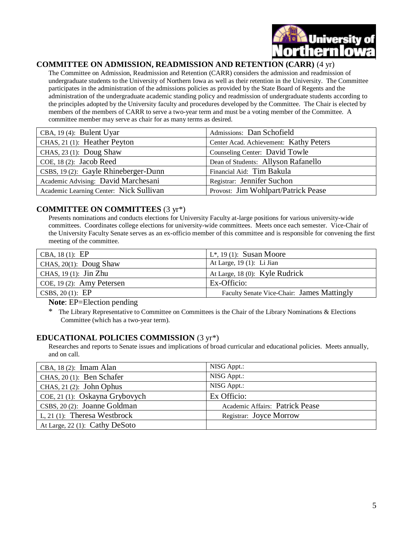

#### **COMMITTEE ON ADMISSION, READMISSION AND RETENTION (CARR)** (4 yr)

The Committee on Admission, Readmission and Retention (CARR) considers the admission and readmission of undergraduate students to the University of Northern Iowa as well as their retention in the University. The Committee participates in the administration of the admissions policies as provided by the State Board of Regents and the administration of the undergraduate academic standing policy and readmission of undergraduate students according to the principles adopted by the University faculty and procedures developed by the Committee. The Chair is elected by members of the members of CARR to serve a two-year term and must be a voting member of the Committee. A committee member may serve as chair for as many terms as desired.

| CBA, 19(4): Bulent Uyar                 | Admissions: Dan Schofield              |
|-----------------------------------------|----------------------------------------|
| CHAS, 21 (1): Heather Peyton            | Center Acad. Achievement: Kathy Peters |
| CHAS, 23 (1): Doug Shaw                 | Counseling Center: David Towle         |
| COE, 18 (2): Jacob Reed                 | Dean of Students: Allyson Rafanello    |
| CSBS, 19 (2): Gayle Rhineberger-Dunn    | Financial Aid: Tim Bakula              |
| Academic Advising: David Marchesani     | Registrar: Jennifer Suchon             |
| Academic Learning Center: Nick Sullivan | Provost: Jim Wohlpart/Patrick Pease    |

#### **COMMITTEE ON COMMITTEES** (3 yr\*)

Presents nominations and conducts elections for University Faculty at-large positions for various university-wide committees. Coordinates college elections for university-wide committees. Meets once each semester. Vice-Chair of the University Faculty Senate serves as an ex-officio member of this committee and is responsible for convening the first meeting of the committee.

| At Large, $19(1)$ : Li Jian<br>At Large, 18 (0): Kyle Rudrick<br>Ex-Officio: | CBA, $18(1)$ : EP         | $L^*$ , 19 (1): Susan Moore                |
|------------------------------------------------------------------------------|---------------------------|--------------------------------------------|
|                                                                              | CHAS, 20(1): Doug Shaw    |                                            |
|                                                                              | CHAS, $19(1)$ : Jin Zhu   |                                            |
|                                                                              | COE, 19 (2): Amy Petersen |                                            |
|                                                                              | CSBS, $20(1)$ : EP        | Faculty Senate Vice-Chair: James Mattingly |

#### **Note:** EP=Election pending

The Library Representative to Committee on Committees is the Chair of the Library Nominations & Elections Committee (which has a two-year term).

#### **EDUCATIONAL POLICIES COMMISSION** (3 yr\*)

Researches and reports to Senate issues and implications of broad curricular and educational policies. Meets annually, and on call.

| CBA, $18(2)$ : Imam Alan         | NISG Appt.:                     |
|----------------------------------|---------------------------------|
| CHAS, 20 (1): Ben Schafer        | NISG Appt.:                     |
| CHAS, $21(2)$ : John Ophus       | NISG Appt.:                     |
| COE, 21 (1): Oskayna Grybovych   | Ex Officio:                     |
| CSBS, 20 (2): Joanne Goldman     | Academic Affairs: Patrick Pease |
| L, 21 $(1)$ : Theresa Westbrock  | Registrar: Joyce Morrow         |
| At Large, $22(1)$ : Cathy DeSoto |                                 |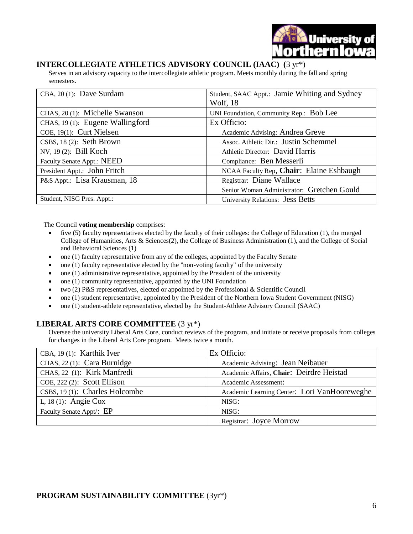

#### **INTERCOLLEGIATE ATHLETICS ADVISORY COUNCIL (IAAC) (**3 yr\*)

Serves in an advisory capacity to the intercollegiate athletic program. Meets monthly during the fall and spring semesters.

| CBA, 20 (1): Dave Surdam         | Student, SAAC Appt.: Jamie Whiting and Sydney |
|----------------------------------|-----------------------------------------------|
|                                  | Wolf, 18                                      |
| CHAS, 20 (1): Michelle Swanson   | UNI Foundation, Community Rep.: Bob Lee       |
| CHAS, 19 (1): Eugene Wallingford | Ex Officio:                                   |
| COE, 19(1): Curt Nielsen         | Academic Advising: Andrea Greve               |
| CSBS, 18 (2): Seth Brown         | Assoc. Athletic Dir.: Justin Schemmel         |
| NV, 19 (2): Bill Koch            | Athletic Director: David Harris               |
| Faculty Senate Appt.: NEED       | Compliance: Ben Messerli                      |
| President Appt.: John Fritch     | NCAA Faculty Rep, Chair: Elaine Eshbaugh      |
| P&S Appt.: Lisa Krausman, 18     | Registrar: Diane Wallace                      |
|                                  | Senior Woman Administrator: Gretchen Gould    |
| Student, NISG Pres. Appt.:       | University Relations: Jess Betts              |

The Council **voting membership** comprises:

- five (5) faculty representatives elected by the faculty of their colleges: the College of Education (1), the merged College of Humanities, Arts & Sciences(2), the College of Business Administration (1), and the College of Social and Behavioral Sciences (1)
- one (1) faculty representative from any of the colleges, appointed by the Faculty Senate
- one  $(1)$  faculty representative elected by the "non-voting faculty" of the university
- one (1) administrative representative, appointed by the President of the university
- one (1) community representative, appointed by the UNI Foundation
- two (2) P&S representatives, elected or appointed by the Professional & Scientific Council
- one (1) student representative, appointed by the President of the Northern Iowa Student Government (NISG)
- one (1) student-athlete representative, elected by the Student-Athlete Advisory Council (SAAC)

#### **LIBERAL ARTS CORE COMMITTEE** (3 yr\*)

Oversee the university Liberal Arts Core, conduct reviews of the program, and initiate or receive proposals from colleges for changes in the Liberal Arts Core program. Meets twice a month.

| CBA, 19(1): Karthik Iver       | Ex Officio:                                  |
|--------------------------------|----------------------------------------------|
| CHAS, 22 (1): Cara Burnidge    | Academic Advising: Jean Neibauer             |
| CHAS, 22 (1): Kirk Manfredi    | Academic Affairs, Chair: Deirdre Heistad     |
| COE, $222(2)$ : Scott Ellison  | Academic Assessment:                         |
| CSBS, 19 (1): Charles Holcombe | Academic Learning Center: Lori VanHooreweghe |
| L, 18 $(1)$ : Angie Cox        | NISG:                                        |
| Faculty Senate Appt/: EP       | NISG:                                        |
|                                | Registrar: Joyce Morrow                      |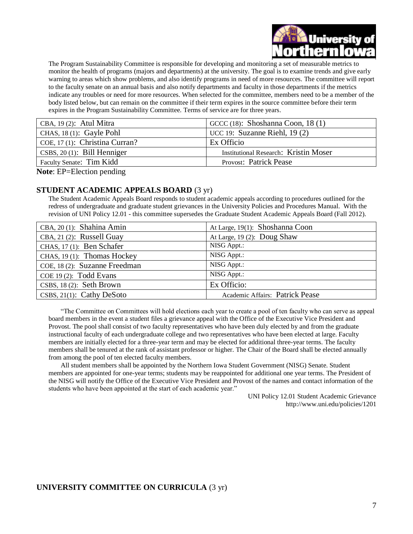

The Program Sustainability Committee is responsible for developing and monitoring a set of measurable metrics to monitor the health of programs (majors and departments) at the university. The goal is to examine trends and give early warning to areas which show problems, and also identify programs in need of more resources. The committee will report to the faculty senate on an annual basis and also notify departments and faculty in those departments if the metrics indicate any troubles or need for more resources. When selected for the committee, members need to be a member of the body listed below, but can remain on the committee if their term expires in the source committee before their term expires in the Program Sustainability Committee. Terms of service are for three years.

| CBA, $19(2)$ : Atul Mitra                            | GCCC $(18)$ : Shoshanna Coon, 18 $(1)$       |
|------------------------------------------------------|----------------------------------------------|
| CHAS, $18(1)$ : Gayle Pohl                           | UCC 19: Suzanne Riehl, $19(2)$               |
| COE, 17 (1): Christina Curran?                       | Ex Officio                                   |
| $CSBS$ , 20 (1): Bill Henniger                       | <b>Institutional Research: Kristin Moser</b> |
| Faculty Senate: Tim Kidd                             | <b>Provost: Patrick Pease</b>                |
| $\mathbf{M}$ is the $\mathbf{M}$ is the $\mathbf{M}$ |                                              |

**Note**: EP=Election pending

#### **STUDENT ACADEMIC APPEALS BOARD** (3 yr)

The Student Academic Appeals Board responds to student academic appeals according to procedures outlined for the redress of undergraduate and graduate student grievances in the University Policies and Procedures Manual. With the revision of UNI Policy 12.01 - this committee supersedes the Graduate Student Academic Appeals Board (Fall 2012).

| CBA, 20(1): Shahina Amin      | At Large, 19(1): Shoshanna Coon |
|-------------------------------|---------------------------------|
| CBA, 21 (2): Russell Guay     | At Large, 19 (2): Doug Shaw     |
| CHAS, 17 (1): Ben Schafer     | NISG Appt.:                     |
| CHAS, 19 (1): Thomas Hockey   | NISG Appt.:                     |
| COE, 18 (2): Suzanne Freedman | NISG Appt.:                     |
| $COE$ 19 (2): Todd Evans      | NISG Appt.:                     |
| CSBS, $18(2)$ : Seth Brown    | Ex Officio:                     |
| CSBS, $21(1)$ : Cathy DeSoto  | Academic Affairs: Patrick Pease |

"The Committee on Committees will hold elections each year to create a pool of ten faculty who can serve as appeal board members in the event a student files a grievance appeal with the Office of the Executive Vice President and Provost. The pool shall consist of two faculty representatives who have been duly elected by and from the graduate instructional faculty of each undergraduate college and two representatives who have been elected at large. Faculty members are initially elected for a three-year term and may be elected for additional three-year terms. The faculty members shall be tenured at the rank of assistant professor or higher. The Chair of the Board shall be elected annually from among the pool of ten elected faculty members.

All student members shall be appointed by the Northern Iowa Student Government (NISG) Senate. Student members are appointed for one-year terms; students may be reappointed for additional one year terms. The President of the NISG will notify the Office of the Executive Vice President and Provost of the names and contact information of the students who have been appointed at the start of each academic year."

> UNI Policy 12.01 Student Academic Grievance http://www.uni.edu/policies/1201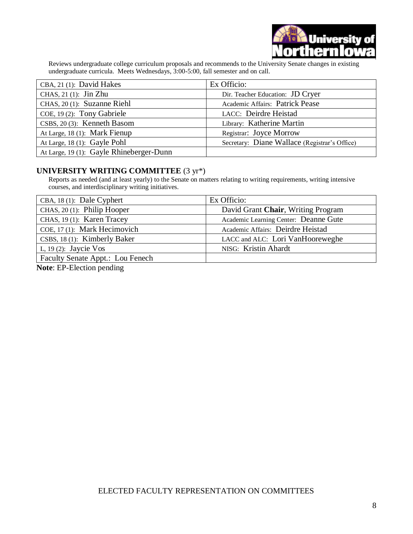

Reviews undergraduate college curriculum proposals and recommends to the University Senate changes in existing undergraduate curricula. Meets Wednesdays, 3:00-5:00, fall semester and on call.

| CBA, 21 (1): David Hakes                 | Ex Officio:                                   |
|------------------------------------------|-----------------------------------------------|
| CHAS, $21(1)$ : Jin Zhu                  | Dir. Teacher Education: JD Cryer              |
| CHAS, 20 (1): Suzanne Riehl              | Academic Affairs: Patrick Pease               |
| COE, 19 (2): Tony Gabriele               | LACC: Deirdre Heistad                         |
| CSBS, 20 (3): Kenneth Basom              | Library: Katherine Martin                     |
| At Large, 18 (1): Mark Fienup            | Registrar: Joyce Morrow                       |
| At Large, 18 (1): Gayle Pohl             | Secretary: Diane Wallace (Registrar's Office) |
| At Large, 19 (1): Gayle Rhineberger-Dunn |                                               |

#### **UNIVERSITY WRITING COMMITTEE** (3 yr\*)

Reports as needed (and at least yearly) to the Senate on matters relating to writing requirements, writing intensive courses, and interdisciplinary writing initiatives.

| CBA, 18 (1): Dale Cyphert        | Ex Officio:                           |
|----------------------------------|---------------------------------------|
| CHAS, 20 (1): Philip Hooper      | David Grant Chair, Writing Program    |
| CHAS, 19 (1): Karen Tracey       | Academic Learning Center: Deanne Gute |
| COE, 17 (1): Mark Hecimovich     | Academic Affairs: Deirdre Heistad     |
| CSBS, 18 (1): Kimberly Baker     | LACC and ALC: Lori VanHooreweghe      |
| L, 19 $(2)$ : Jaycie Vos         | NISG: Kristin Ahardt                  |
| Faculty Senate Appt.: Lou Fenech |                                       |

**Note**: EP-Election pending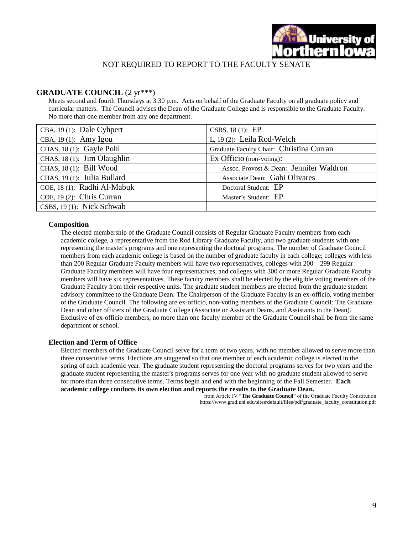

#### NOT REQUIRED TO REPORT TO THE FACULTY SENATE

#### **GRADUATE COUNCIL** (2 yr\*\*\*)

Meets second and fourth Thursdays at 3:30 p.m. Acts on behalf of the Graduate Faculty on all graduate policy and curricular matters. The Council advises the Dean of the Graduate College and is responsible to the Graduate Faculty. No more than one member from any one department.

| $CBA$ , 19(1): Dale Cyhpert  | CSBS, $18(1)$ : EP                       |
|------------------------------|------------------------------------------|
| CBA, 19 (1): Amy Igou        | L, $19(2)$ : Leila Rod-Welch             |
| CHAS, 18 (1): Gayle Pohl     | Graduate Faculty Chair: Christina Curran |
| CHAS, 18 (1): Jim Olaughlin  | $Ex$ Officio (non-voting):               |
| CHAS, 18 (1): Bill Wood      | Assoc. Provost & Dean: Jennifer Waldron  |
| CHAS, 19 (1): Julia Bullard  | Associate Dean: Gabi Olivares            |
| COE, 18 (1): Radhi Al-Mabuk  | Doctoral Student: EP                     |
| COE, 19 $(2)$ : Chris Curran | Master's Student: EP                     |
| CSBS, 19 (1): Nick Schwab    |                                          |

#### **Composition**

The elected membership of the Graduate Council consists of Regular Graduate Faculty members from each academic college, a representative from the Rod Library Graduate Faculty, and two graduate students with one representing the master's programs and one representing the doctoral programs. The number of Graduate Council members from each academic college is based on the number of graduate faculty in each college; colleges with less than 200 Regular Graduate Faculty members will have two representatives, colleges with 200 – 299 Regular Graduate Faculty members will have four representatives, and colleges with 300 or more Regular Graduate Faculty members will have six representatives. These faculty members shall be elected by the eligible voting members of the Graduate Faculty from their respective units. The graduate student members are elected from the graduate student advisory committee to the Graduate Dean. The Chairperson of the Graduate Faculty is an ex-officio, voting member of the Graduate Council. The following are ex-officio, non-voting members of the Graduate Council: The Graduate Dean and other officers of the Graduate College (Associate or Assistant Deans, and Assistants to the Dean). Exclusive of ex-officio members, no more than one faculty member of the Graduate Council shall be from the same department or school.

#### **Election and Term of Office**

Elected members of the Graduate Council serve for a term of two years, with no member allowed to serve more than three consecutive terms. Elections are staggered so that one member of each academic college is elected in the spring of each academic year. The graduate student representing the doctoral programs serves for two years and the graduate student representing the master's programs serves for one year with no graduate student allowed to serve for more than three consecutive terms. Terms begin and end with the beginning of the Fall Semester. **Each academic college conducts its own election and reports the results to the Graduate Dean.**

from Article IV "**The Graduate Council**" of the Graduate Faculty Constitution https://www.grad.uni.edu/sites/default/files/pdf/graduate\_faculty\_constitution.pdf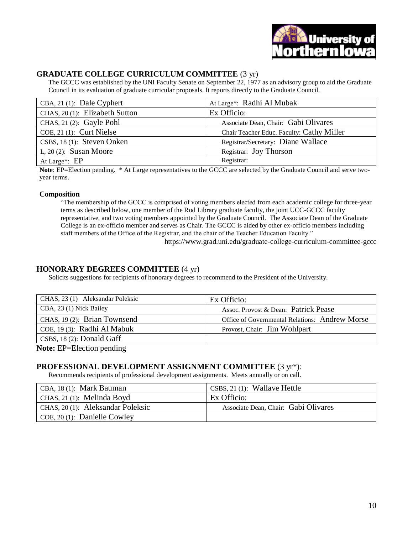

### **GRADUATE COLLEGE CURRICULUM COMMITTEE** (3 yr)

The GCCC was established by the UNI Faculty Senate on September 22, 1977 as an advisory group to aid the Graduate Council in its evaluation of graduate curricular proposals. It reports directly to the Graduate Council.

| CBA, 21 (1): Dale Cyphert      | At Large*: Radhi Al Mubak                 |
|--------------------------------|-------------------------------------------|
| CHAS, 20 (1): Elizabeth Sutton | Ex Officio:                               |
| CHAS, 21 (2): Gayle Pohl       | Associate Dean, Chair: Gabi Olivares      |
| $COE$ , 21 (1): Curt Nielse    | Chair Teacher Educ. Faculty: Cathy Miller |
| CSBS, 18 (1): Steven Onken     | Registrar/Secretary: Diane Wallace        |
| L, $20(2)$ : Susan Moore       | Registrar: Joy Thorson                    |
| At Large*: EP                  | Registrar:                                |

**Note**: EP=Election pending. \* At Large representatives to the GCCC are selected by the Graduate Council and serve twoyear terms.

#### **Composition**

"The membership of the GCCC is comprised of voting members elected from each academic college for three-year terms as described below, one member of the Rod Library graduate faculty, the joint UCC-GCCC faculty representative, and two voting members appointed by the Graduate Council. The Associate Dean of the Graduate College is an ex-officio member and serves as Chair. The GCCC is aided by other ex-officio members including staff members of the Office of the Registrar, and the chair of the Teacher Education Faculty."

https://www.grad.uni.edu/graduate-college-curriculum-committee-gccc

#### **HONORARY DEGREES COMMITTEE** (4 yr)

Solicits suggestions for recipients of honorary degrees to recommend to the President of the University.

| CHAS, 23 (1) Aleksandar Poleksic                     | Ex Officio:                                    |
|------------------------------------------------------|------------------------------------------------|
| CBA, 23 (1) Nick Bailey                              | Assoc. Provost & Dean: Patrick Pease           |
| CHAS, 19 (2): Brian Townsend                         | Office of Governmental Relations: Andrew Morse |
| COE, 19 $(3)$ : Radhi Al Mabuk                       | Provost, Chair: Jim Wohlpart                   |
| CSBS, 18 (2): Donald Gaff                            |                                                |
| $\mathbf{M}$ is the $\mathbf{M}$ is the $\mathbf{M}$ |                                                |

**Note:** EP=Election pending

#### **PROFESSIONAL DEVELOPMENT ASSIGNMENT COMMITTEE** (3 yr\*):

Recommends recipients of professional development assignments. Meets annually or on call.

| CBA, 18 (1): Mark Bauman          | $CSBS$ , 21 (1): Wallave Hettle      |
|-----------------------------------|--------------------------------------|
| CHAS, 21 (1): Melinda Boyd        | Ex Officio:                          |
| CHAS, 20 (1): Aleksandar Poleksic | Associate Dean, Chair: Gabi Olivares |
| COE, 20 (1): Danielle Cowley      |                                      |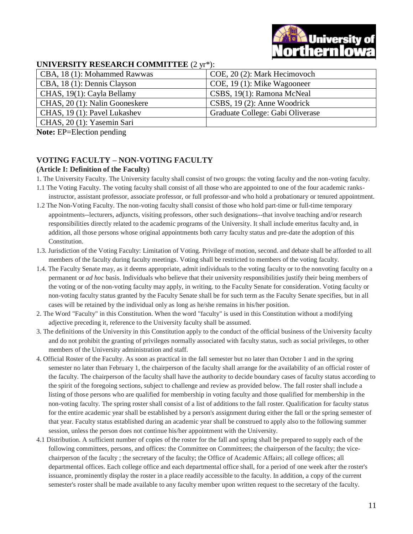## **UNIVERSITY RESEARCH COMMITTEE** (2 yr\*):

| CBA, 18 (1): Mohammed Rawwas   | COE, 20 (2): Mark Hecimovoch     |
|--------------------------------|----------------------------------|
| CBA, 18 (1): Dennis Clayson    | COE, 19 (1): Mike Wagooneer      |
| CHAS, 19(1): Cayla Bellamy     | CSBS, 19(1): Ramona McNeal       |
| CHAS, 20 (1): Nalin Gooneskere | $CSBS$ , 19 (2): Anne Woodrick   |
| CHAS, 19 (1): Pavel Lukashev   | Graduate College: Gabi Oliverase |
| CHAS, 20 (1): Yasemin Sari     |                                  |

**Note:** EP=Election pending

#### **VOTING FACULTY – NON-VOTING FACULTY (Article I: Definition of the Faculty)**

- 1. The University Faculty. The University faculty shall consist of two groups: the voting faculty and the non-voting faculty.
- 1.1 The Voting Faculty. The voting faculty shall consist of all those who are appointed to one of the four academic ranksinstructor, assistant professor, associate professor, or full professor-and who hold a probationary or tenured appointment.
- 1.2 The Non-Voting Faculty. The non-voting faculty shall consist of those who hold part-time or full-time temporary appointments--lecturers, adjuncts, visiting professors, other such designations--that involve teaching and/or research responsibilities directly related to the academic programs of the University. It shall include emeritus faculty and, in addition, all those persons whose original appointments both carry faculty status and pre-date the adoption of this Constitution.
- 1.3. Jurisdiction of the Voting Faculty: Limitation of Voting. Privilege of motion, second. and debate shall be afforded to all members of the faculty during faculty meetings. Voting shall be restricted to members of the voting faculty.
- 1.4. The Faculty Senate may, as it deems appropriate, admit individuals to the voting faculty or to the nonvoting faculty on a permanent or *ad hoc* basis. Individuals who believe that their university responsibilities justify their being members of the voting or of the non-voting faculty may apply, in writing. to the Faculty Senate for consideration. Voting faculty or non-voting faculty status granted by the Faculty Senate shall be for such term as the Faculty Senate specifies, but in all cases will be retained by the individual only as long as he/she remains in his/her position.
- 2. The Word "Faculty" in this Constitution. When the word "faculty" is used in this Constitution without a modifying adjective preceding it, reference to the University faculty shall be assumed.
- 3. The definitions of the University in this Constitution apply to the conduct of the official business of the University faculty and do not prohibit the granting of privileges normally associated with faculty status, such as social privileges, to other members of the University administration and staff.
- 4. Official Roster of the Faculty. As soon as practical in the fall semester but no later than October 1 and in the spring semester no later than February 1, the chairperson of the faculty shall arrange for the availability of an official roster of the faculty. The chairperson of the faculty shall have the authority to decide boundary cases of faculty status according to the spirit of the foregoing sections, subject to challenge and review as provided below. The fall roster shall include a listing of those persons who are qualified for membership in voting faculty and those qualified for membership in the non-voting faculty. The spring roster shall consist of a list of additions to the fall roster. Qualification for faculty status for the entire academic year shall be established by a person's assignment during either the fall or the spring semester of that year. Faculty status established during an academic year shall be construed to apply also to the following summer session, unless the person does not continue his/her appointment with the University.
- 4.1 Distribution. A sufficient number of copies of the roster for the fall and spring shall be prepared to supply each of the following committees, persons, and offices: the Committee on Committees; the chairperson of the faculty; the vicechairperson of the faculty ; the secretary of the faculty; the Office of Academic Affairs; all college offices; all departmental offices. Each college office and each departmental office shall, for a period of one week after the roster's issuance, prominently display the roster in a place readily accessible to the faculty. In addition, a copy of the current semester's roster shall be made available to any faculty member upon written request to the secretary of the faculty.